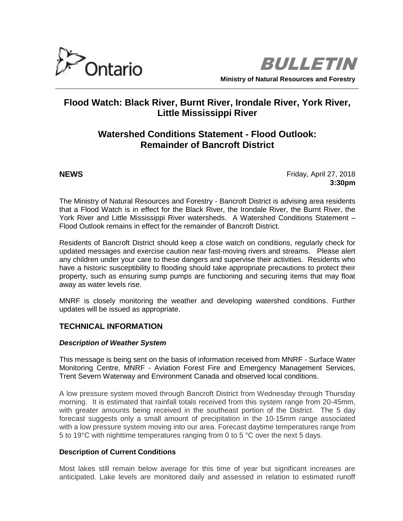



# **Flood Watch: Black River, Burnt River, Irondale River, York River, Little Mississippi River**

# **Watershed Conditions Statement - Flood Outlook: Remainder of Bancroft District**

**NEWS Friday, April 27, 2018 3:30pm**

The Ministry of Natural Resources and Forestry - Bancroft District is advising area residents that a Flood Watch is in effect for the Black River, the Irondale River, the Burnt River, the York River and Little Mississippi River watersheds. A Watershed Conditions Statement – Flood Outlook remains in effect for the remainder of Bancroft District.

Residents of Bancroft District should keep a close watch on conditions, regularly check for updated messages and exercise caution near fast-moving rivers and streams. Please alert any children under your care to these dangers and supervise their activities. Residents who have a historic susceptibility to flooding should take appropriate precautions to protect their property, such as ensuring sump pumps are functioning and securing items that may float away as water levels rise.

MNRF is closely monitoring the weather and developing watershed conditions. Further updates will be issued as appropriate.

# **TECHNICAL INFORMATION**

### *Description of Weather System*

This message is being sent on the basis of information received from MNRF - Surface Water Monitoring Centre, MNRF - Aviation Forest Fire and Emergency Management Services, Trent Severn Waterway and Environment Canada and observed local conditions.

A low pressure system moved through Bancroft District from Wednesday through Thursday morning. It is estimated that rainfall totals received from this system range from 20-45mm, with greater amounts being received in the southeast portion of the District. The 5 day forecast suggests only a small amount of precipitation in the 10-15mm range associated with a low pressure system moving into our area. Forecast daytime temperatures range from 5 to 19°C with nighttime temperatures ranging from 0 to 5 °C over the next 5 days.

# **Description of Current Conditions**

Most lakes still remain below average for this time of year but significant increases are anticipated. Lake levels are monitored daily and assessed in relation to estimated runoff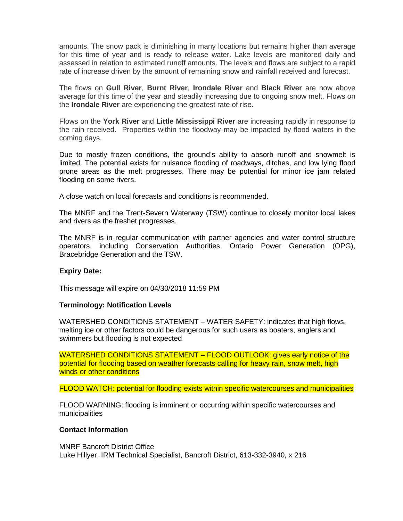amounts. The snow pack is diminishing in many locations but remains higher than average for this time of year and is ready to release water. Lake levels are monitored daily and assessed in relation to estimated runoff amounts. The levels and flows are subject to a rapid rate of increase driven by the amount of remaining snow and rainfall received and forecast.

The flows on **Gull River**, **Burnt River**, **Irondale River** and **Black River** are now above average for this time of the year and steadily increasing due to ongoing snow melt. Flows on the **Irondale River** are experiencing the greatest rate of rise.

Flows on the **York River** and **Little Mississippi River** are increasing rapidly in response to the rain received. Properties within the floodway may be impacted by flood waters in the coming days.

Due to mostly frozen conditions, the ground's ability to absorb runoff and snowmelt is limited. The potential exists for nuisance flooding of roadways, ditches, and low lying flood prone areas as the melt progresses. There may be potential for minor ice jam related flooding on some rivers.

A close watch on local forecasts and conditions is recommended.

The MNRF and the Trent-Severn Waterway (TSW) continue to closely monitor local lakes and rivers as the freshet progresses.

The MNRF is in regular communication with partner agencies and water control structure operators, including Conservation Authorities, Ontario Power Generation (OPG), Bracebridge Generation and the TSW.

# **Expiry Date:**

This message will expire on 04/30/2018 11:59 PM

### **Terminology: Notification Levels**

WATERSHED CONDITIONS STATEMENT – WATER SAFETY: indicates that high flows, melting ice or other factors could be dangerous for such users as boaters, anglers and swimmers but flooding is not expected

WATERSHED CONDITIONS STATEMENT – FLOOD OUTLOOK: gives early notice of the potential for flooding based on weather forecasts calling for heavy rain, snow melt, high winds or other conditions

FLOOD WATCH: potential for flooding exists within specific watercourses and municipalities

FLOOD WARNING: flooding is imminent or occurring within specific watercourses and municipalities

### **Contact Information**

MNRF Bancroft District Office Luke Hillyer, IRM Technical Specialist, Bancroft District, 613-332-3940, x 216